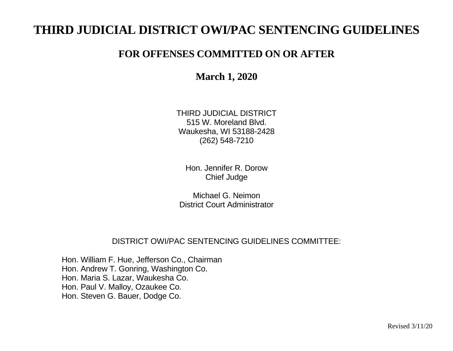# **THIRD JUDICIAL DISTRICT OWI/PAC SENTENCING GUIDELINES**

# **FOR OFFENSES COMMITTED ON OR AFTER**

**March 1, 2020**

THIRD JUDICIAL DISTRICT 515 W. Moreland Blvd. Waukesha, WI 53188-2428 (262) 548-7210

Hon. Jennifer R. Dorow Chief Judge

Michael G. Neimon District Court Administrator

# DISTRICT OWI/PAC SENTENCING GUIDELINES COMMITTEE:

Hon. William F. Hue, Jefferson Co., Chairman Hon. Andrew T. Gonring, Washington Co. Hon. Maria S. Lazar, Waukesha Co. Hon. Paul V. Malloy, Ozaukee Co. Hon. Steven G. Bauer, Dodge Co.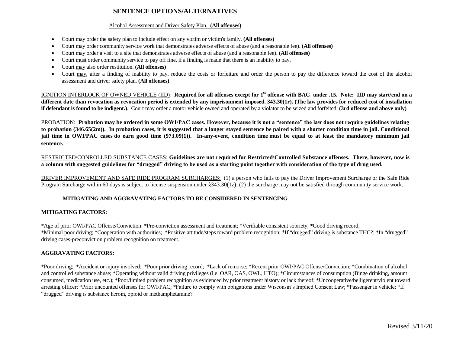### **SENTENCE OPTIONS/ALTERNATIVES**

#### Alcohol Assessment and Driver Safety Plan. **(All offenses)**

- Court may order the safety plan to include effect on any victim or victim's family. **(All offenses)**
- Court may order community service work that demonstrates adverse effects of abuse (and a reasonable fee). (All offenses)
- Court may order a visit to a site that demonstrates adverse effects of abuse (and a reasonable fee). (All offenses)
- Court must order community service to pay off fine, if a finding is made that there is an inability to pay.
- Court may also order restitution. **(All offenses)**
- Court may, after a finding of inability to pay, reduce the costs or forfeiture and order the person to pay the difference toward the cost of the alcohol assessment and driver safety plan. **(All offenses)**

IGNITION INTERLOCK OF OWNED VEHICLE (IID). Required for all offenses except for 1<sup>st</sup> offense with BAC under .15. Note: IID may start\end on a **different date than revocation as revocation period is extended by any imprisonment imposed. 343.30(1r). (The law provides for reduced cost of installation if defendant is found to be indigent.**). Court may order a motor vehicle owned and operated by a violator to be seized and forfeited. **(3rd offense and above only)** 

PROBATION: **Probation may be ordered in some OWI/PAC cases. However, because it is not a "sentence" the law does not require guidelines relating to probation (346.65(2m)). In probation cases, it is suggested that a longer stayed sentence be paired with a shorter condition time in jail. Conditional jail time in OWI/PAC cases do earn good time (973.09(1)). In-any-event, condition time must be equal to at least the mandatory minimum jail sentence.** 

RESTRICTED\CONROLLED SUBSTANCE CASES: **Guidelines are not required for Restricted\Controlled Substance offenses. There, however, now is a column with suggested guidelines for "drugged" driving to be used as a starting point together with consideration of the type of drug used.**

DRIVER IMPROVEMENT AND SAFE RIDE PROGRAM SURCHARGES: (1) a person who fails to pay the Driver Improvement Surcharge or the Safe Ride Program Surcharge within 60 days is subject to license suspension under §343.30(1z); (2) the surcharge may not be satisfied through community service work..

#### **MITIGATING AND AGGRAVATING FACTORS TO BE CONSIDERED IN SENTENCING**

#### **MITIGATING FACTORS:**

\*Age of prior OWI/PAC Offense/Conviction: \*Pre-conviction assessment and treatment; \*Verifiable consistent sobriety; \*Good driving record; \*Minimal poor driving; \*Cooperation with authorities; \*Positive attitude/steps toward problem recognition; \*If "drugged" driving is substance THC?; \*In "drugged" driving cases-preconviction problem recognition on treatment.

#### **AGGRAVATING FACTORS:**

\*Poor driving; \*Accident or injury involved; \*Poor prior driving record; \*Lack of remorse; \*Recent prior OWI/PAC Offense/Conviction; \*Combination of alcohol and controlled substance abuse; \*Operating without valid driving privileges (i.e. OAR, OAS, OWL, HTO); \*Circumstances of consumption (Binge drinking, amount consumed, medication use, etc.); \*Poor/limited problem recognition as evidenced by prior treatment history or lack thereof; \*Uncooperative/belligerent/violent toward arresting officer; \*Prior uncounted offenses for OWI/PAC; \*Failure to comply with obligations under Wisconsin's Implied Consent Law; \*Passenger in vehicle; \*If "drugged" driving is substance heroin, opioid or methamphetamine?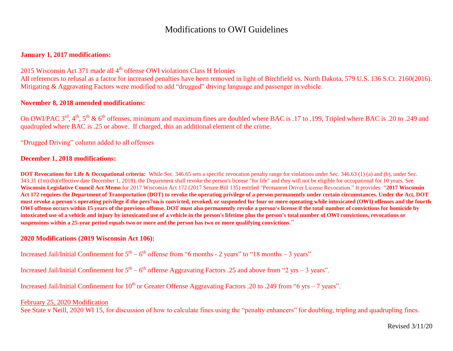## Modifications to OWI Guidelines

#### **January 1, 2017 modifications:**

2015 Wisconsin Act 371 made all  $4<sup>th</sup>$  offense OWI violations Class H felonies

All references to refusal as a factor for increased penalties have been removed in light of Birchfield vs. North Dakota, 579 U.S. 136 S.Ct. 2160(2016). Mitigating & Aggravating Factors were modified to add "drugged" driving language and passenger in vehicle.

#### **November 8, 2018 amended modifications:**

On OWI/PAC 3<sup>rd</sup>, 4<sup>th</sup>, 5<sup>th</sup> & 6<sup>th</sup> offenses, minimum and maximum fines are doubled where BAC is .17 to .199, Tripled where BAC is .20 to .249 and quadrupled where BAC is .25 or above. If charged, this an additional element of the crime.

"Drugged Driving" column added to all offenses

#### **December 1, 2018 modifications:**

**DOT Revocations for Life & Occupational criteria:** While Sec. 346.65 sets a specific revocation penalty range for violations under Sec. 346.63 (1) (a) and (b), under Sec. 343.31 (1m) (b)(effective date December 1, 2018), the Department shall revoke the person's license "for life" and they will not be eligible for occupational for 10 years. See **Wisconsin Legislative Council Act Memo** for 2017 Wisconsin Act 172 (2017 Senate Bill 135) entitled "Permanent Driver License Revocation." It provides: **"2017 Wisconsin Act 172 requires the Department of Transportation (DOT) to revoke the operating privilege of a person permanently under certain circumstances. Under the Act, DOT must revoke a person's operating privilege if the pers7on is convicted, revoked, or suspended for four or more operating while intoxicated (OWI) offenses and the fourth OWI offense occurs within 15 years of the previous offense. DOT must also permanently revoke a person's license if the total number of convictions for homicide by intoxicated use of a vehicle and injury by intoxicated use of a vehicle in the person's lifetime plus the person's total number of OWI convictions, revocations or suspensions within a 25-year period equals two or more and the person has two or more qualifying convictions**."

#### **2020 Modifications (2019 Wisconsin Act 106):**

Increased Jail/Initial Confinement for  $5<sup>th</sup> - 6<sup>th</sup>$  offense from "6 months - 2 years" to "18 months - 3 years"

Increased Jail/Initial Confinement for  $5<sup>th</sup> - 6<sup>th</sup>$  offense Aggravating Factors .25 and above from "2 yrs – 3 years".

Increased Jail/Initial Confinement for  $10<sup>th</sup>$  or Greater Offense Aggravating Factors .20 to .249 from "6 yrs – 7 years".

#### February 25, 2020 Modification

See State v Neill, 2020 WI 15, for discussion of how to calculate fines using the "penalty enhancers" for doubling, tripling and quadrupling fines.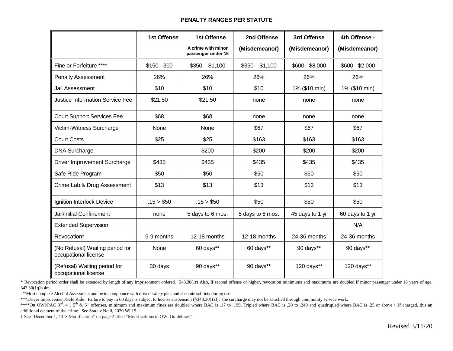#### **PENALTY RANGES PER STATUTE**

|                                                         | <b>1st Offense</b> | <b>1st Offense</b>                       | 2nd Offense      | 3rd Offense     | 4th Offense +   |
|---------------------------------------------------------|--------------------|------------------------------------------|------------------|-----------------|-----------------|
|                                                         |                    | A crime with minor<br>passenger under 16 | (Misdemeanor)    | (Misdemeanor)   | (Misdemeanor)   |
| Fine or Forfeiture ****                                 | $$150 - 300$       | $$350 - $1,100$                          | $$350 - $1,100$  | $$600 - $8,000$ | $$600 - $2,000$ |
| <b>Penalty Assessment</b>                               | 26%                | 26%                                      | 26%              | 26%             | 26%             |
| Jail Assessment                                         | \$10               | \$10                                     | \$10             | 1% (\$10 min)   | 1% (\$10 min)   |
| <b>Justice Information Service Fee</b>                  | \$21.50            | \$21.50                                  | none             | none            | none            |
| <b>Court Support Services Fee</b>                       | \$68               | \$68                                     | none             | none            | none            |
| Victim-Witness Surcharge                                | None               | None                                     | \$67             | \$67            | \$67            |
| <b>Court Costs</b>                                      | \$25               | \$25                                     | \$163            | \$163           | \$163           |
| <b>DNA Surcharge</b>                                    |                    | \$200                                    | \$200            | \$200           | \$200           |
| Driver Improvement Surcharge                            | \$435              | \$435                                    | \$435            | \$435           | \$435           |
| Safe Ride Program                                       | \$50               | \$50                                     | \$50             | \$50            | \$50            |
| Crime Lab.& Drug Assessment                             | \$13               | \$13                                     | \$13             | \$13            | \$13            |
| Ignition Interlock Device                               | .15 > \$50         | .15 > \$50                               | \$50             | \$50            | \$50            |
| Jail\Initial Confinement                                | none               | 5 days to 6 mos.                         | 5 days to 6 mos. | 45 days to 1 yr | 60 days to 1 yr |
| <b>Extended Supervision</b>                             |                    |                                          |                  |                 | N/A             |
| Revocation*                                             | 6-9 months         | 12-18 months                             | 12-18 months     | 24-36 months    | 24-36 months    |
| (No Refusal) Waiting period for<br>occupational license | None               | 60 days**                                | 60 days**        | 90 days**       | 90 days**       |
| (Refusal) Waiting period for<br>occupational license    | 30 days            | 90 days**                                | 90 days**        | 120 days**      | 120 days**      |

\* Revocation period order shall be extended by length of any imprisonment ordered. 343.30(1r) Also, If second offense or higher, revocation minimums and maximums are doubled if minor passenger under 16 years of age. 343.30(1q)b 4m

\*\*Must complete Alcohol Assessment and be in compliance with drivers safety plan and absolute sobriety during use

\*\*\*Driver Improvement/Safe Ride: Failure to pay in 60 days is subject to license suspension (§343.30(1z)); the surcharge may not be satisfied through community service work.

\*\*\*\*On OWI/PAC 3<sup>rd</sup>, 4<sup>th</sup>, 5<sup>th</sup> & 6<sup>th</sup> offenses, minimum and maximum fines are doubled where BAC is .17 to .199, Tripled where BAC is .20 to .249 and quadrupled where BAC is .25 or above \. If charged, this an additional element of the crime. See State v Neill, 2020 WI 15.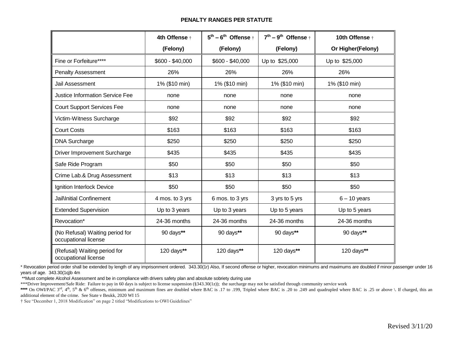#### **PENALTY RANGES PER STATUTE**

|                                                         | 4th Offense +    | $5^{th}$ – $6^{th}$ Offense $\dagger$ | $7^{th}$ – 9 <sup>th</sup> Offense $\dagger$ | 10th Offense +    |
|---------------------------------------------------------|------------------|---------------------------------------|----------------------------------------------|-------------------|
|                                                         | (Felony)         | (Felony)                              | (Felony)                                     | Or Higher(Felony) |
| Fine or Forfeiture****                                  | \$600 - \$40,000 | \$600 - \$40,000                      | Up to \$25,000                               | Up to \$25,000    |
| <b>Penalty Assessment</b>                               | 26%              | 26%                                   | 26%                                          | 26%               |
| Jail Assessment                                         | 1% (\$10 min)    | 1% (\$10 min)                         | 1% (\$10 min)                                | 1% (\$10 min)     |
| <b>Justice Information Service Fee</b>                  | none             | none                                  | none                                         | none              |
| <b>Court Support Services Fee</b>                       | none             | none                                  | none                                         | none              |
| Victim-Witness Surcharge                                | \$92             | \$92                                  | \$92                                         | \$92              |
| <b>Court Costs</b>                                      | \$163            | \$163                                 | \$163                                        | \$163             |
| <b>DNA Surcharge</b>                                    | \$250            | \$250                                 | \$250                                        | \$250             |
| <b>Driver Improvement Surcharge</b>                     | \$435            | \$435                                 | \$435                                        | \$435             |
| Safe Ride Program                                       | \$50             | \$50                                  | \$50                                         | \$50              |
| Crime Lab.& Drug Assessment                             | \$13             | \$13                                  | \$13                                         | \$13              |
| Ignition Interlock Device                               | \$50             | \$50                                  | \$50                                         | \$50              |
| Jail\Initial Confinement                                | 4 mos. to 3 yrs  | 6 mos. to 3 yrs                       | 3 yrs to 5 yrs                               | $6 - 10$ years    |
| <b>Extended Supervision</b>                             | Up to 3 years    | Up to 3 years                         | Up to 5 years                                | Up to 5 years     |
| Revocation*                                             | 24-36 months     | 24-36 months                          | 24-36 months                                 | 24-36 months      |
| (No Refusal) Waiting period for<br>occupational license | 90 days**        | 90 days**                             | 90 days**                                    | 90 days**         |
| (Refusal) Waiting period for<br>occupational license    | 120 days**       | 120 days**                            | 120 days**                                   | 120 days**        |

\* Revocation period order shall be extended by length of any imprisonment ordered. 343.30(1r) Also, If second offense or higher, revocation minimums and maximums are doubled if minor passenger under 16 years of age. 343.30(1q)b 4m

\*\*Must complete Alcohol Assessment and be in compliance with drivers safety plan and absolute sobriety during use

\*\*\*Driver Improvement/Safe Ride: Failure to pay in 60 days is subject to license suspension (§343.30(1z)); the surcharge may not be satisfied through community service work

\*\*\*\* On OWI/PAC 3<sup>rd</sup>, 4<sup>th</sup>, 5<sup>th</sup> & 6<sup>th</sup> offenses, minimum and maximum fines are doubled where BAC is .17 to .199, Tripled where BAC is .20 to .249 and quadrupled where BAC is .25 or above \. If charged, this an additional element of the crime. See State v Beukk, 2020 WI 15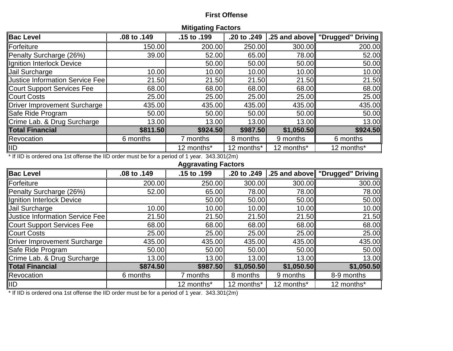### **First Offense**

| <b>Mitigating Factors</b>                                                                     |             |             |             |            |                                  |  |  |  |  |
|-----------------------------------------------------------------------------------------------|-------------|-------------|-------------|------------|----------------------------------|--|--|--|--|
| <b>Bac Level</b>                                                                              | .08 to .149 | .15 to .199 | .20 to .249 |            | 1.25 and above TDrugged" Driving |  |  |  |  |
| <b>Forfeiture</b>                                                                             | 150.00      | 200.00      | 250.00      | 300.00     | 200.00                           |  |  |  |  |
| Penalty Surcharge (26%)                                                                       | 39.00       | 52.00       | 65.00       | 78.00      | 52.00                            |  |  |  |  |
| Ignition Interlock Device                                                                     |             | 50.00       | 50.00       | 50.00      | 50.00                            |  |  |  |  |
| Jail Surcharge                                                                                | 10.00       | 10.00       | 10.00       | 10.00      | 10.00                            |  |  |  |  |
| Justice Information Service Fee                                                               | 21.50       | 21.50       | 21.50       | 21.50      | 21.50                            |  |  |  |  |
| Court Support Services Fee                                                                    | 68.00       | 68.00       | 68.00       | 68.00      | 68.00                            |  |  |  |  |
| <b>Court Costs</b>                                                                            | 25.00       | 25.00       | 25.00       | 25.00      | 25.00                            |  |  |  |  |
| Driver Improvement Surcharge                                                                  | 435.00      | 435.00      | 435.00      | 435.00     | 435.00                           |  |  |  |  |
| Safe Ride Program                                                                             | 50.00       | 50.00       | 50.00       | 50.00      | 50.00                            |  |  |  |  |
| Crime Lab. & Drug Surcharge                                                                   | 13.00       | 13.00       | 13.00       | 13.00      | 13.00                            |  |  |  |  |
| <b>Total Financial</b>                                                                        | \$811.50    | \$924.50    | \$987.50    | \$1,050.50 | \$924.50                         |  |  |  |  |
| <b>Revocation</b>                                                                             | 6 months    | 7 months    | 8 months    | 9 months   | 6 months                         |  |  |  |  |
| <b>IIID</b>                                                                                   |             | 12 months*  | 12 months*  | 12 months* | 12 months*                       |  |  |  |  |
| * If IID is ordered ona 1st offense the IID order must be for a period of 1 year. 343.301(2m) |             |             |             |            |                                  |  |  |  |  |

### **Aggravating Factors**

| <b>Bac Level</b>                                                                                                                                                                                                                                                                                                                                                                                   | .08 to .149 | .15 to .199 | .20 to .249 |            | │.25 and above∥ "Drugged" Driving ∥ |
|----------------------------------------------------------------------------------------------------------------------------------------------------------------------------------------------------------------------------------------------------------------------------------------------------------------------------------------------------------------------------------------------------|-------------|-------------|-------------|------------|-------------------------------------|
| Forfeiture                                                                                                                                                                                                                                                                                                                                                                                         | 200.00      | 250.00      | 300.00      | 300.00     | 300.00                              |
| Penalty Surcharge (26%)                                                                                                                                                                                                                                                                                                                                                                            | 52.00       | 65.00       | 78.00       | 78.00      | 78.00                               |
| Ignition Interlock Device                                                                                                                                                                                                                                                                                                                                                                          |             | 50.00       | 50.00       | 50.00      | 50.00                               |
| Jail Surcharge                                                                                                                                                                                                                                                                                                                                                                                     | 10.00       | 10.00       | 10.00       | 10.00      | 10.00                               |
| Justice Information Service Fee                                                                                                                                                                                                                                                                                                                                                                    | 21.50       | 21.50       | 21.50       | 21.50      | 21.50                               |
| <b>Court Support Services Fee</b>                                                                                                                                                                                                                                                                                                                                                                  | 68.00       | 68.00       | 68.00       | 68.00      | 68.00                               |
| <b>Court Costs</b>                                                                                                                                                                                                                                                                                                                                                                                 | 25.00       | 25.00       | 25.00       | 25.00      | 25.00                               |
| <b>Driver Improvement Surcharge</b>                                                                                                                                                                                                                                                                                                                                                                | 435.00      | 435.00      | 435.00      | 435.00     | 435.00                              |
| Safe Ride Program                                                                                                                                                                                                                                                                                                                                                                                  | 50.00       | 50.00       | 50.00       | 50.00      | 50.00                               |
| Crime Lab. & Drug Surcharge                                                                                                                                                                                                                                                                                                                                                                        | 13.00       | 13.00       | 13.00       | 13.00      | 13.00                               |
| <b>Total Financial</b>                                                                                                                                                                                                                                                                                                                                                                             | \$874.50    | \$987.50    | \$1,050.50  | \$1,050.50 | \$1,050.50                          |
| <b>Revocation</b>                                                                                                                                                                                                                                                                                                                                                                                  | 6 months    | 7 months    | 8 months    | 9 months   | 8-9 months                          |
| <b>IID</b><br>$\overline{1}$ $\overline{1}$ $\overline{2}$ $\overline{1}$ $\overline{2}$ $\overline{1}$ $\overline{2}$ $\overline{1}$ $\overline{2}$ $\overline{1}$ $\overline{2}$ $\overline{2}$ $\overline{2}$ $\overline{2}$ $\overline{2}$ $\overline{2}$ $\overline{2}$ $\overline{2}$ $\overline{2}$ $\overline{2}$ $\overline{2}$ $\overline{2}$ $\overline{2}$ $\overline{2}$ $\overline{$ |             | 12 months*  | 12 months*  | 12 months* | 12 months*                          |

\* If IID is ordered ona 1st offense the IID order must be for a period of 1 year. 343.301(2m)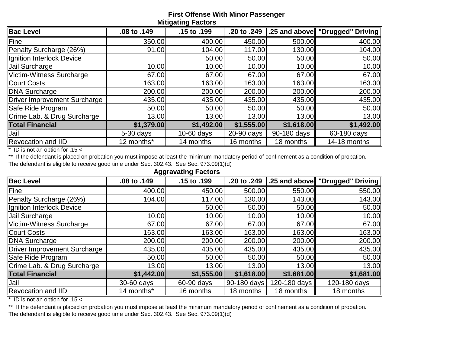### **First Offense With Minor Passenger Mitigating Factors**

| <b>Bac Level</b>             | .08 to .149 | .15 to .199  | .20 to .249 |             | .25 and above   "Drugged" Driving |
|------------------------------|-------------|--------------|-------------|-------------|-----------------------------------|
| Fine                         | 350.00      | 400.00       | 450.00      | 500.00      | 400.00                            |
| Penalty Surcharge (26%)      | 91.00       | 104.00       | 117.00      | 130.00      | 104.00                            |
| Ignition Interlock Device    |             | 50.00        | 50.00       | 50.00       | 50.00                             |
| Jail Surcharge               | 10.00       | 10.00        | 10.00       | 10.00       | 10.00                             |
| Victim-Witness Surcharge     | 67.00       | 67.00        | 67.00       | 67.00       | 67.00                             |
| <b>Court Costs</b>           | 163.00      | 163.00       | 163.00      | 163.00      | 163.00                            |
| DNA Surcharge                | 200.00      | 200.00       | 200.00      | 200.00      | 200.00                            |
| Driver Improvement Surcharge | 435.00      | 435.00       | 435.00      | 435.00      | 435.00                            |
| Safe Ride Program            | 50.00       | 50.00        | 50.00       | 50.00       | 50.00                             |
| Crime Lab. & Drug Surcharge  | 13.00       | 13.00        | 13.00       | 13.00       | 13.00                             |
| <b>Total Financial</b>       | \$1,379.00  | \$1,492.00   | \$1,555.00  | \$1,618.00  | \$1,492.00                        |
| Jail                         | $5-30$ days | $10-60$ days | 20-90 days  | 90-180 days | 60-180 days                       |
| Revocation and IID           | 12 months*  | 14 months    | 16 months   | 18 months   | 14-18 months                      |

\* IID is not an option for .15 <

\*\* If the defendant is placed on probation you must impose at least the minimum mandatory period of confinement as a condition of probation.

The defendant is eligible to receive good time under Sec. 302.43. See Sec. 973.09(1)(d)

| <b>Aggravating Factors</b>   |             |             |             |              |                                 |  |  |  |  |  |
|------------------------------|-------------|-------------|-------------|--------------|---------------------------------|--|--|--|--|--|
| <b>Bac Level</b>             | .08 to .149 | .15 to .199 | .20 to .249 |              | .25 and above "Drugged" Driving |  |  |  |  |  |
| Fine                         | 400.00      | 450.00      | 500.00      | 550.00       | 550.00                          |  |  |  |  |  |
| Penalty Surcharge (26%)      | 104.00      | 117.00      | 130.00      | 143.00       | 143.00                          |  |  |  |  |  |
| Ignition Interlock Device    |             | 50.00       | 50.00       | 50.00        | 50.00                           |  |  |  |  |  |
| Jail Surcharge               | 10.00       | 10.00       | 10.00       | 10.00        | 10.00                           |  |  |  |  |  |
| Victim-Witness Surcharge     | 67.00       | 67.00       | 67.00       | 67.00        | 67.00                           |  |  |  |  |  |
| <b>Court Costs</b>           | 163.00      | 163.00      | 163.00      | 163.00       | 163.00                          |  |  |  |  |  |
| DNA Surcharge                | 200.00      | 200.00      | 200.00      | 200.00       | 200.00                          |  |  |  |  |  |
| Driver Improvement Surcharge | 435.00      | 435.00      | 435.00      | 435.00       | 435.00                          |  |  |  |  |  |
| Safe Ride Program            | 50.00       | 50.00       | 50.00       | 50.00        | 50.00                           |  |  |  |  |  |
| Crime Lab. & Drug Surcharge  | 13.00       | 13.00       | 13.00       | 13.00ll      | 13.00                           |  |  |  |  |  |
| <b>Total Financial</b>       | \$1,442.00  | \$1,555.00  | \$1,618.00  | \$1,681.00   | \$1,681.00                      |  |  |  |  |  |
| Jail                         | 30-60 days  | 60-90 days  | 90-180 days | 120-180 days | 120-180 days                    |  |  |  |  |  |
| <b>Revocation and IID</b>    | 14 months*  | 16 months   | 18 months   | 18 months    | 18 months                       |  |  |  |  |  |

\* IID is not an option for .15 <

\*\* If the defendant is placed on probation you must impose at least the minimum mandatory period of confinement as a condition of probation. The defendant is eligible to receive good time under Sec. 302.43. See Sec. 973.09(1)(d)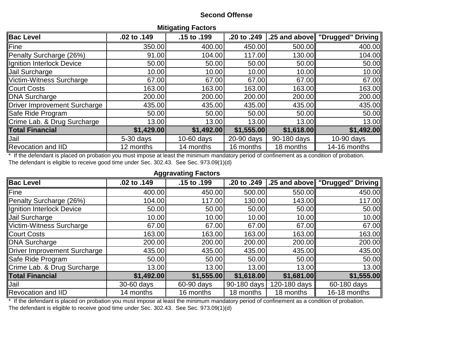### **Second Offense**

| <b>MILIYALING FALLUIS</b>    |             |              |             |             |                                  |  |  |  |  |  |
|------------------------------|-------------|--------------|-------------|-------------|----------------------------------|--|--|--|--|--|
| <b>Bac Level</b>             | .02 to .149 | .15 to .199  | .20 to .249 |             | 25 and above   "Drugged" Driving |  |  |  |  |  |
| Fine                         | 350.00      | 400.00       | 450.00      | 500.00      | 400.00                           |  |  |  |  |  |
| Penalty Surcharge (26%)      | 91.00       | 104.00       | 117.00      | 130.00      | 104.00                           |  |  |  |  |  |
| Ignition Interlock Device    | 50.00       | 50.00        | 50.00       | 50.00       | 50.00                            |  |  |  |  |  |
| Jail Surcharge               | 10.00       | 10.00        | 10.00       | 10.00       | 10.00                            |  |  |  |  |  |
| Victim-Witness Surcharge     | 67.00       | 67.00        | 67.00       | 67.00       | 67.00                            |  |  |  |  |  |
| <b>Court Costs</b>           | 163.00      | 163.00       | 163.00      | 163.00      | 163.00                           |  |  |  |  |  |
| <b>DNA Surcharge</b>         | 200.00      | 200.00       | 200.00      | 200.00      | 200.00                           |  |  |  |  |  |
| Driver Improvement Surcharge | 435.00      | 435.00       | 435.00      | 435.00      | 435.00                           |  |  |  |  |  |
| Safe Ride Program            | 50.00       | 50.00        | 50.00       | 50.00       | 50.00                            |  |  |  |  |  |
| Crime Lab. & Drug Surcharge  | 13.00       | 13.00        | 13.00       | 13.00       | 13.00                            |  |  |  |  |  |
| <b>Total Financial</b>       | \$1,429.00  | \$1,492.00   | \$1,555.00  | \$1,618.00  | \$1,492.00                       |  |  |  |  |  |
| Jail                         | $5-30$ days | $10-60$ days | 20-90 days  | 90-180 days | 10-90 days                       |  |  |  |  |  |
| <b>Revocation and IID</b>    | 12 months   | 14 months    | 16 months   | 18 months   | 14-16 months                     |  |  |  |  |  |

**Mitigating Factors**

\* If the defendant is placed on probation you must impose at least the minimum mandatory period of confinement as a condition of probation. The defendant is eligible to receive good time under Sec. 302.43. See Sec. 973.09(1)(d)

| <b>Aggravating Factors</b>          |             |             |             |              |                                 |  |  |  |  |  |
|-------------------------------------|-------------|-------------|-------------|--------------|---------------------------------|--|--|--|--|--|
| <b>Bac Level</b>                    | .02 to .149 | .15 to .199 | .20 to .249 |              | .25 and above "Drugged" Driving |  |  |  |  |  |
| Fine                                | 400.00      | 450.00      | 500.00      | 550.00       | 450.00                          |  |  |  |  |  |
| Penalty Surcharge (26%)             | 104.00      | 117.00      | 130.00      | 143.00       | 117.00                          |  |  |  |  |  |
| Ignition Interlock Device           | 50.00       | 50.00       | 50.00       | 50.00        | 50.00                           |  |  |  |  |  |
| Jail Surcharge                      | 10.00       | 10.00       | 10.00       | 10.00        | 10.00                           |  |  |  |  |  |
| <b>Victim-Witness Surcharge</b>     | 67.00       | 67.00       | 67.00       | 67.00        | 67.00                           |  |  |  |  |  |
| <b>Court Costs</b>                  | 163.00      | 163.00      | 163.00      | 163.00       | 163.00                          |  |  |  |  |  |
| <b>DNA Surcharge</b>                | 200.00      | 200.00      | 200.00      | 200.00       | 200.00                          |  |  |  |  |  |
| <b>Driver Improvement Surcharge</b> | 435.00      | 435.00      | 435.00      | 435.00       | 435.00                          |  |  |  |  |  |
| Safe Ride Program                   | 50.00       | 50.00       | 50.00       | 50.00        | 50.00                           |  |  |  |  |  |
| Crime Lab. & Drug Surcharge         | 13.00       | 13.00       | 13.00       | 13.00        | 13.00                           |  |  |  |  |  |
| <b>Total Financial</b>              | \$1,492.00  | \$1,555.00  | \$1,618.00  | \$1,681.00   | \$1,555.00                      |  |  |  |  |  |
| Jail                                | 30-60 days  | 60-90 days  | 90-180 days | 120-180 days | 60-180 days                     |  |  |  |  |  |
| <b>Revocation and IID</b>           | 14 months   | 16 months   | 18 months   | 18 months    | 16-18 months                    |  |  |  |  |  |

\* If the defendant is placed on probation you must impose at least the minimum mandatory period of confinement as a condition of probation. The defendant is eligible to receive good time under Sec. 302.43. See Sec. 973.09(1)(d)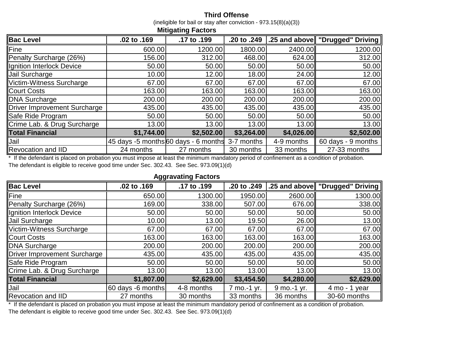### **Third Offense**

(ineligible for bail or stay after conviction - 973.15(8)(a)(3)) **Mitigating Factors**

| mugaang ravioro                     |                                      |             |             |            |                                 |  |  |  |  |
|-------------------------------------|--------------------------------------|-------------|-------------|------------|---------------------------------|--|--|--|--|
| <b>Bac Level</b>                    | .02 to .169                          | .17 to .199 | .20 to .249 |            | .25 and above "Drugged" Driving |  |  |  |  |
| Fine                                | 600.00                               | 1200.00     | 1800.00     | 2400.00    | 1200.00                         |  |  |  |  |
| Penalty Surcharge (26%)             | 156.00                               | 312.00      | 468.00      | 624.00     | 312.00                          |  |  |  |  |
| Ignition Interlock Device           | 50.00                                | 50.00       | 50.00       | 50.00      | 50.00                           |  |  |  |  |
| Jail Surcharge                      | 10.00                                | 12.00       | 18.00       | 24.00      | 12.00                           |  |  |  |  |
| Victim-Witness Surcharge            | 67.00                                | 67.00       | 67.00       | 67.00      | 67.00                           |  |  |  |  |
| <b>Court Costs</b>                  | 163.00                               | 163.00      | 163.00      | 163.00     | 163.00                          |  |  |  |  |
| <b>DNA Surcharge</b>                | 200.00                               | 200.00      | 200.00      | 200.00     | 200.00                          |  |  |  |  |
| <b>Driver Improvement Surcharge</b> | 435.00                               | 435.00      | 435.00      | 435.00     | 435.00                          |  |  |  |  |
| Safe Ride Program                   | 50.00                                | 50.00       | 50.00       | 50.00      | 50.00                           |  |  |  |  |
| Crime Lab. & Drug Surcharge         | 13.00                                | 13.00       | 13.00       | 13.00      | 13.00                           |  |  |  |  |
| <b>Total Financial</b>              | \$1,744.00                           | \$2,502.00  | \$3,264.00  | \$4,026.00 | \$2,502.00                      |  |  |  |  |
| Jail                                | 45 days -5 months 60 days - 6 months |             | 3-7 months  | 4-9 months | 60 days - 9 months              |  |  |  |  |
| Revocation and IID                  | 24 months                            | 27 months   | 30 months   | 33 months  | 27-33 months                    |  |  |  |  |

\* If the defendant is placed on probation you must impose at least the minimum mandatory period of confinement as a condition of probation. The defendant is eligible to receive good time under Sec. 302.43. See Sec. 973.09(1)(d)

| <b>Aggravating Factors</b>          |                   |             |             |             |                                 |  |  |  |  |  |
|-------------------------------------|-------------------|-------------|-------------|-------------|---------------------------------|--|--|--|--|--|
| <b>Bac Level</b>                    | .02 to .169       | .17 to .199 | .20 to .249 |             | .25 and above "Drugged" Driving |  |  |  |  |  |
| Fine                                | 650.00            | 1300.00     | 1950.00     | 2600.00     | 1300.00                         |  |  |  |  |  |
| Penalty Surcharge (26%)             | 169.00            | 338.00      | 507.00      | 676.00      | 338.00                          |  |  |  |  |  |
| Ignition Interlock Device           | 50.00             | 50.00       | 50.00       | 50.00       | 50.00                           |  |  |  |  |  |
| Jail Surcharge                      | 10.00             | 13.00       | 19.50       | 26.00       | 13.00                           |  |  |  |  |  |
| Victim-Witness Surcharge            | 67.00             | 67.00       | 67.00       | 67.00       | 67.00                           |  |  |  |  |  |
| <b>Court Costs</b>                  | 163.00            | 163.00      | 163.00      | 163.00      | 163.00                          |  |  |  |  |  |
| <b>DNA Surcharge</b>                | 200.00            | 200.00      | 200.00      | 200.00      | 200.00                          |  |  |  |  |  |
| <b>Driver Improvement Surcharge</b> | 435.00            | 435.00      | 435.00      | 435.00      | 435.00                          |  |  |  |  |  |
| Safe Ride Program                   | 50.00             | 50.00       | 50.00       | 50.00       | 50.00                           |  |  |  |  |  |
| Crime Lab. & Drug Surcharge         | 13.00             | 13.00       | 13.00       | 13.00       | 13.00                           |  |  |  |  |  |
| <b>Total Financial</b>              | \$1,807.00        | \$2,629.00  | \$3,454.50  | \$4,280.00  | \$2,629.00                      |  |  |  |  |  |
| Jail                                | 60 days -6 months | 4-8 months  | 7 mo.-1 yr. | 9 mo.-1 yr. | $4 \text{ mo} - 1 \text{ year}$ |  |  |  |  |  |
| <b>Revocation and IID</b>           | 27 months         | 30 months   | 33 months   | 36 months   | 30-60 months                    |  |  |  |  |  |

\* If the defendant is placed on probation you must impose at least the minimum mandatory period of confinement as a condition of probation. The defendant is eligible to receive good time under Sec. 302.43. See Sec. 973.09(1)(d)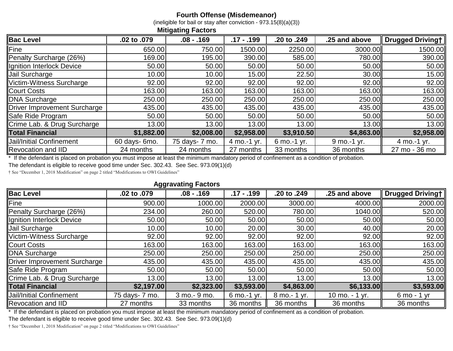### **Fourth Offense (Misdemeanor)**

(ineligible for bail or stay after conviction - 973.15(8)(a)(3))

| munganny i avioro                   |               |                |              |               |               |                  |  |  |
|-------------------------------------|---------------|----------------|--------------|---------------|---------------|------------------|--|--|
| <b>Bac Level</b>                    | .02 to .079   | $.08 - .169$   | $.17 - .199$ | .20 to .249   | .25 and above | Drugged Drivingt |  |  |
| Fine                                | 650.00        | 750.00         | 1500.00      | 2250.00       | 3000.00       | 1500.00          |  |  |
| Penalty Surcharge (26%)             | 169.00        | 195.00         | 390.00       | 585.00        | 780.00        | 390.00           |  |  |
| Ignition Interlock Device           | 50.00         | 50.00          | 50.00        | 50.00         | 50.00         | 50.00            |  |  |
| Jail Surcharge                      | 10.00         | 10.00          | 15.00        | 22.50         | 30.00         | 15.00            |  |  |
| Victim-Witness Surcharge            | 92.00         | 92.00          | 92.00        | 92.00         | 92.00         | 92.00            |  |  |
| <b>Court Costs</b>                  | 163.00        | 163.00         | 163.00       | 163.00        | 163.00        | 163.00           |  |  |
| <b>DNA Surcharge</b>                | 250.00        | 250.00         | 250.00       | 250.00        | 250.00        | 250.00           |  |  |
| <b>Driver Improvement Surcharge</b> | 435.00        | 435.00         | 435.00       | 435.00        | 435.00        | 435.00           |  |  |
| Safe Ride Program                   | 50.00         | 50.00          | 50.00        | 50.00         | 50.00         | 50.00            |  |  |
| Crime Lab. & Drug Surcharge         | 13.00         | 13.00          | 13.00        | 13.00         | 13.00         | 13.00            |  |  |
| <b>Total Financial</b>              | \$1,882.00    | \$2,008.00     | \$2,958.00   | \$3,910.50    | \$4,863.00    | \$2,958.00       |  |  |
| <b>Jail/Initial Confinement</b>     | 60 days- 6mo. | 75 days- 7 mo. | 4 mo.-1 yr.  | $6$ mo.-1 yr. | $9$ mo.-1 yr. | 4 mo.-1 yr.      |  |  |
| <b>Revocation and IID</b>           | 24 months     | 24 months      | 27 months    | 33 months     | 36 months     | 27 mo - 36 mo    |  |  |

If the defendant is placed on probation you must impose at least the minimum mandatory period of confinement as a condition of probation.

**Mitigating Factors**

The defendant is eligible to receive good time under Sec. 302.43. See Sec. 973.09(1)(d)

† See "December 1, 2018 Modification" on page 2 titled "Modifications to OWI Guidelines"

### **Aggravating Factors**

| <b>Bac Level</b>                | .02 to .079    | $.08 - .169$  | $.17 - .199$ | .20 to .249   | .25 and above  | <b>Drugged Drivingt</b> |
|---------------------------------|----------------|---------------|--------------|---------------|----------------|-------------------------|
| Fine                            | 900.00         | 1000.00       | 2000.00      | 3000.00       | 4000.00        | 2000.00                 |
| Penalty Surcharge (26%)         | 234.00         | 260.00        | 520.00       | 780.00        | 1040.00        | 520.00                  |
| Ignition Interlock Device       | 50.00          | 50.00         | 50.00        | 50.00         | 50.00          | 50.00                   |
| Jail Surcharge                  | 10.00          | 10.00         | 20.00        | 30.00         | 40.00          | 20.00                   |
| Victim-Witness Surcharge        | 92.00          | 92.00         | 92.00        | 92.00         | 92.00          | 92.00                   |
| <b>Court Costs</b>              | 163.00         | 163.00        | 163.00       | 163.00        | 163.00         | 163.00                  |
| <b>DNA Surcharge</b>            | 250.00         | 250.00        | 250.00       | 250.00        | 250.00         | 250.00                  |
| Driver Improvement Surcharge    | 435.00         | 435.00        | 435.00       | 435.00        | 435.00         | 435.00                  |
| Safe Ride Program               | 50.00          | 50.00         | 50.00        | 50.00         | 50.00          | 50.00                   |
| Crime Lab. & Drug Surcharge     | 13.00          | 13.00         | 13.00        | 13.00         | 13.00          | 13.00                   |
| <b>Total Financial</b>          | \$2,197.00     | \$2,323.00    | \$3,593.00   | \$4,863.00    | \$6,133.00     | \$3,593.00              |
| <b>Jail/Initial Confinement</b> | 75 days- 7 mo. | 3 mo. - 9 mo. | 6 mo.-1 yr.  | 8 mo. - 1 yr. | 10 mo. - 1 yr. | 6 mo - 1 yr             |
| <b>Revocation and IID</b>       | 27 months      | 33 months     | 36 months    | 36 months     | 36 months      | 36 months               |

If the defendant is placed on probation you must impose at least the minimum mandatory period of confinement as a condition of probation.

The defendant is eligible to receive good time under Sec. 302.43. See Sec. 973.09(1)(d)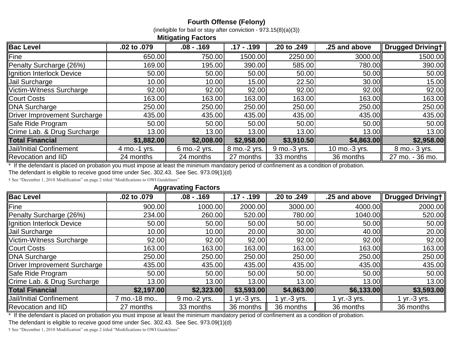## **Fourth Offense (Felony)**

(ineligible for bail or stay after conviction -  $973.15(8)(a)(3)$ )

### **Mitigating Factors**

| <b>Bac Level</b>                | .02 to .079  | $.08 - .169$ | $.17 - .199$ | .20 to .249  | .25 and above | <b>Drugged Drivingt</b> |
|---------------------------------|--------------|--------------|--------------|--------------|---------------|-------------------------|
| Fine                            | 650.00       | 750.00       | 1500.00      | 2250.00      | 3000.00       | 1500.00                 |
| Penalty Surcharge (26%)         | 169.00       | 195.00       | 390.00       | 585.00       | 780.00        | 390.00                  |
| Ignition Interlock Device       | 50.00        | 50.00        | 50.00        | 50.00        | 50.00         | 50.00                   |
| Jail Surcharge                  | 10.00        | 10.00        | 15.00        | 22.50        | 30.00         | 15.00                   |
| Victim-Witness Surcharge        | 92.00        | 92.00        | 92.00        | 92.00        | 92.00         | 92.00                   |
| <b>Court Costs</b>              | 163.00       | 163.00       | 163.00       | 163.00       | 163.00        | 163.00                  |
| <b>DNA Surcharge</b>            | 250.00       | 250.00       | 250.00       | 250.00       | 250.00        | 250.00                  |
| Driver Improvement Surcharge    | 435.00       | 435.00       | 435.00       | 435.00       | 435.00        | 435.00                  |
| Safe Ride Program               | 50.00        | 50.00        | 50.00        | 50.00        | 50.00         | 50.00                   |
| Crime Lab. & Drug Surcharge     | 13.00        | 13.00        | 13.00        | 13.00        | 13.00         | 13.00                   |
| <b>Total Financial</b>          | \$1,882.00   | \$2,008.00   | \$2,958.00   | \$3,910.50   | \$4,863.00    | \$2,958.00              |
| <b>Jail/Initial Confinement</b> | 4 mo.-1 yrs. | 6 mo.-2 yrs. | 8 mo.-2 yrs. | 9 mo.-3 yrs. | 10 mo.-3 yrs. | 8 mo. - 3 yrs.          |
| <b>Revocation and IID</b>       | 24 months    | 24 months    | 27 months    | 33 months    | 36 months     | 27 mo. - 36 mo.         |

\* If the defendant is placed on probation you must impose at least the minimum mandatory period of confinement as a condition of probation.

The defendant is eligible to receive good time under Sec. 302.43. See Sec. 973.09(1)(d)

† See "December 1, 2018 Modification" on page 2 titled "Modifications to OWI Guidelines"

#### **Aggravating Factors**

| <b>Bac Level</b>                | --<br>.02 to .079 | $.08 - .169$ | $.17 - .199$ | .20 to .249  | .25 and above | <b>Drugged Drivingt</b> |
|---------------------------------|-------------------|--------------|--------------|--------------|---------------|-------------------------|
| Fine                            | 900.00            | 1000.00      | 2000.00      | 3000.00      | 4000.00ll     | 2000.00                 |
| Penalty Surcharge (26%)         | 234.00            | 260.00       | 520.00       | 780.00       | 1040.00ll     | 520.00                  |
| Ignition Interlock Device       | 50.00             | 50.00        | 50.00        | 50.00        | 50.00         | 50.00                   |
| Jail Surcharge                  | 10.00             | 10.00        | 20.00        | 30.00        | 40.00         | 20.00                   |
| Victim-Witness Surcharge        | 92.00             | 92.00        | 92.00        | 92.00        | 92.00         | 92.00                   |
| <b>Court Costs</b>              | 163.00            | 163.00       | 163.00       | 163.00       | 163.00        | 163.00                  |
| DNA Surcharge                   | 250.00            | 250.00       | 250.00       | 250.00       | 250.00        | 250.00                  |
| Driver Improvement Surcharge    | 435.00            | 435.00       | 435.00       | 435.00       | 435.00        | 435.00                  |
| Safe Ride Program               | 50.00             | 50.00        | 50.00        | 50.00        | 50.00         | 50.00                   |
| Crime Lab. & Drug Surcharge     | 13.00             | 13.00        | 13.00        | 13.00        | 13.00         | 13.00                   |
| <b>Total Financial</b>          | \$2,197.00        | \$2,323.00   | \$3,593.00   | \$4,863.00   | \$6,133.00    | \$3,593.00              |
| <b>Jail/Initial Confinement</b> | mo.-18 mo         | 9 mo.-2 yrs. | $yr.-3 yrs.$ | $yr.-3 yrs.$ | $yr.-3 vrs.$  | $\sqrt{r}$ .-3 yrs.     |
| <b>Revocation and IID</b>       | 27 months         | 33 months    | 36 months    | 36 months    | 36 months     | 36 months               |

\* If the defendant is placed on probation you must impose at least the minimum mandatory period of confinement as a condition of probation.

The defendant is eligible to receive good time under Sec. 302.43. See Sec. 973.09(1)(d)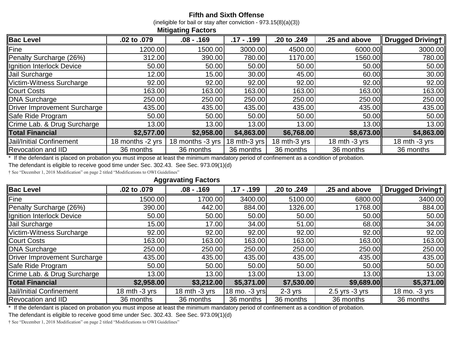### **Fifth and Sixth Offense**

(ineligible for bail or stay after conviction - 973.15(8)(a)(3))

| mugaang ravioro                 |                  |                  |              |              |                 |                  |  |
|---------------------------------|------------------|------------------|--------------|--------------|-----------------|------------------|--|
| <b>Bac Level</b>                | .02 to .079      | $.08 - .169$     | $.17 - .199$ | .20 to .249  | .25 and above   | Drugged Drivingt |  |
| Fine                            | 1200.00          | 1500.00          | 3000.00      | 4500.00      | 6000.00         | 3000.00          |  |
| Penalty Surcharge (26%)         | 312.00           | 390.00           | 780.00       | 1170.00      | 1560.00         | 780.00           |  |
| Ignition Interlock Device       | 50.00            | 50.00            | 50.00        | 50.00        | 50.00           | 50.00            |  |
| Jail Surcharge                  | 12.00            | 15.00            | 30.00        | 45.00        | 60.00           | 30.00            |  |
| Victim-Witness Surcharge        | 92.00            | 92.00            | 92.00        | 92.00        | 92.00           | 92.00            |  |
| <b>Court Costs</b>              | 163.00           | 163.00           | 163.00       | 163.00       | 163.00          | 163.00           |  |
| <b>DNA Surcharge</b>            | 250.00           | 250.00           | 250.00       | 250.00       | 250.00          | 250.00           |  |
| Driver Improvement Surcharge    | 435.00           | 435.00           | 435.00       | 435.00       | 435.00          | 435.00           |  |
| Safe Ride Program               | 50.00            | 50.00            | 50.00        | 50.00        | 50.00           | 50.00            |  |
| Crime Lab. & Drug Surcharge     | 13.00            | 13.00            | 13.00        | 13.00        | 13.00           | 13.00            |  |
| <b>Total Financial</b>          | \$2,577.00       | \$2,958.00       | \$4,863.00   | \$6,768.00   | \$8,673.00      | \$4,863.00       |  |
| <b>Jail/Initial Confinement</b> | 18 months -2 yrs | 18 months -3 yrs | 18 mth-3 yrs | 18 mth-3 yrs | 18 mth $-3$ yrs | 18 mth $-3$ yrs  |  |
| <b>Revocation and IID</b>       | 36 months        | 36 months        | 36 months    | 36 months    | 36 months       | 36 months        |  |

\* If the defendant is placed on probation you must impose at least the minimum mandatory period of confinement as a condition of probation.

**Mitigating Factors**

The defendant is eligible to receive good time under Sec. 302.43. See Sec. 973.09(1)(d)

† See "December 1, 2018 Modification" on page 2 titled "Modifications to OWI Guidelines"

**Aggravating Factors**

| <b>Bac Level</b>                | .02 to .079     | $.08 - .169$     | $.17 - .199$  | .20 to .249 | .25 and above      | Drugged Drivingt |
|---------------------------------|-----------------|------------------|---------------|-------------|--------------------|------------------|
| Fine                            | 1500.00         | 1700.00          | 3400.00       | 5100.00     | 6800.00            | 3400.00          |
| Penalty Surcharge (26%)         | 390.00          | 442.00           | 884.00        | 1326.00     | 1768.00            | 884.00           |
| Ignition Interlock Device       | 50.00           | 50.00            | 50.00         | 50.00       | 50.00              | 50.00            |
| Jail Surcharge                  | 15.00           | 17.00            | 34.00         | 51.00       | 68.00              | 34.00            |
| Victim-Witness Surcharge        | 92.00           | 92.00            | 92.00         | 92.00       | 92.00              | 92.00            |
| <b>Court Costs</b>              | 163.00          | 163.00           | 163.00        | 163.00      | 163.00             | 163.00           |
| <b>DNA Surcharge</b>            | 250.00          | 250.00           | 250.00        | 250.00      | 250.00             | 250.00           |
| Driver Improvement Surcharge    | 435.00          | 435.00           | 435.00        | 435.00      | 435.00             | 435.00           |
| Safe Ride Program               | 50.00           | 50.00            | 50.00         | 50.00       | 50.00              | 50.00            |
| Crime Lab. & Drug Surcharge     | 13.00           | 13.00            | 13.00         | 13.00       | 13.00              | 13.00            |
| <b>Total Financial</b>          | \$2,958.00      | \$3,212.00       | \$5,371.00    | \$7,530.00  | \$9,689.00         | \$5,371.00       |
| <b>Jail/Initial Confinement</b> | 18 mth $-3$ yrs | 18 $mth - 3$ yrs | 18 mo. -3 yrs | $2-3$ yrs   | $2.5$ yrs $-3$ yrs | 18 mo. -3 yrs    |
| <b>Revocation and IID</b>       | 36 months       | 36 months        | 36 months     | 36 months   | 36 months          | 36 months        |

\* If the defendant is placed on probation you must impose at least the minimum mandatory period of confinement as a condition of probation.

The defendant is eligible to receive good time under Sec. 302.43. See Sec. 973.09(1)(d)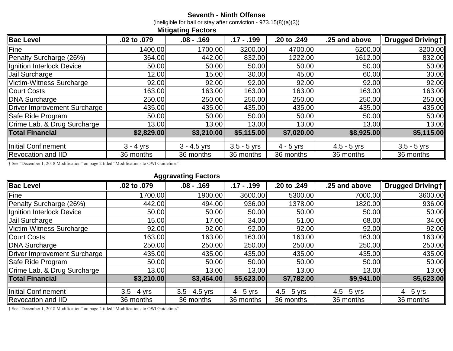### **Seventh - Ninth Offense**

(ineligible for bail or stay after conviction - 973.15(8)(a)(3))

|                              |             | <b>Mitigating Factors</b> |               |             |               |                  |
|------------------------------|-------------|---------------------------|---------------|-------------|---------------|------------------|
| <b>Bac Level</b>             | .02 to .079 | $.08 - .169$              | $.17 - .199$  | .20 to .249 | .25 and above | Drugged Driving+ |
| Fine                         | 1400.00     | 1700.00                   | 3200.00       | 4700.00     | 6200.00       | 3200.00          |
| Penalty Surcharge (26%)      | 364.00      | 442.00                    | 832.00        | 1222.00     | 1612.00       | 832.00           |
| Ignition Interlock Device    | 50.00       | 50.00                     | 50.00         | 50.00       | 50.00         | 50.00            |
| Jail Surcharge               | 12.00       | 15.00                     | 30.00         | 45.00       | 60.00         | 30.00            |
| Victim-Witness Surcharge     | 92.00       | 92.00                     | 92.00         | 92.00       | 92.00         | 92.00            |
| <b>Court Costs</b>           | 163.00      | 163.00                    | 163.00        | 163.00      | 163.00        | 163.00           |
| <b>DNA Surcharge</b>         | 250.00      | 250.00                    | 250.00        | 250.00      | 250.00        | 250.00           |
| Driver Improvement Surcharge | 435.00      | 435.00                    | 435.00        | 435.00      | 435.00        | 435.00           |
| Safe Ride Program            | 50.00       | 50.00                     | 50.00         | 50.00       | 50.00         | 50.00            |
| Crime Lab. & Drug Surcharge  | 13.00       | 13.00                     | 13.00         | 13.00       | 13.00         | 13.00            |
| <b>Total Financial</b>       | \$2,829.00  | \$3,210.00                | \$5,115.00    | \$7,020.00  | \$8,925.00    | \$5,115.00       |
| Initial Confinement          | $3 - 4$ yrs | $3 - 4.5$ yrs             | $3.5 - 5$ yrs | $4 - 5$ yrs | $4.5 - 5$ yrs | $3.5 - 5$ yrs    |
| <b>Revocation and IID</b>    | 36 months   | 36 months                 | 36 months     | 36 months   | 36 months     | 36 months        |

† See "December 1, 2018 Modification" on page 2 titled "Modifications to OWI Guidelines"

**Aggravating Factors**

| <b>Bac Level</b>             | .02 to .079   | $.08 - .169$    | $.17 - .199$ | .20 to .249   | .25 and above | <b>Drugged Drivingt</b> |
|------------------------------|---------------|-----------------|--------------|---------------|---------------|-------------------------|
| <b>Fine</b>                  | 1700.00       | 1900.00         | 3600.00      | 5300.00       | 7000.00       | 3600.00                 |
| Penalty Surcharge (26%)      | 442.00        | 494.00          | 936.00       | 1378.00       | 1820.00       | 936.00                  |
| Ignition Interlock Device    | 50.00         | 50.00           | 50.00        | 50.00         | 50.00         | 50.00                   |
| Jail Surcharge               | 15.00         | 17.00           | 34.00        | 51.00         | 68.00         | 34.00                   |
| Victim-Witness Surcharge     | 92.00         | 92.00           | 92.00        | 92.00         | 92.00         | 92.00                   |
| <b>Court Costs</b>           | 163.00        | 163.00          | 163.00       | 163.00        | 163.00        | 163.00                  |
| <b>DNA Surcharge</b>         | 250.00        | 250.00          | 250.00       | 250.00        | 250.00        | 250.00                  |
| Driver Improvement Surcharge | 435.00        | 435.00          | 435.00       | 435.00        | 435.00        | 435.00                  |
| Safe Ride Program            | 50.00         | 50.00           | 50.00        | 50.00         | 50.00         | 50.00                   |
| Crime Lab. & Drug Surcharge  | 13.00         | 13.00           | 13.00        | 13.00         | 13.00         | 13.00                   |
| <b>Total Financial</b>       | \$3,210.00    | \$3,464.00      | \$5,623.00   | \$7,782.00    | \$9,941.00    | \$5,623.00              |
| Initial Confinement          | $3.5 - 4$ yrs | $3.5 - 4.5$ yrs | $4 - 5$ yrs  | $4.5 - 5$ yrs | $4.5 - 5$ yrs | $4 - 5$ yrs             |
| <b>Revocation and IID</b>    | 36 months     | 36 months       | 36 months    | 36 months     | 36 months     | 36 months               |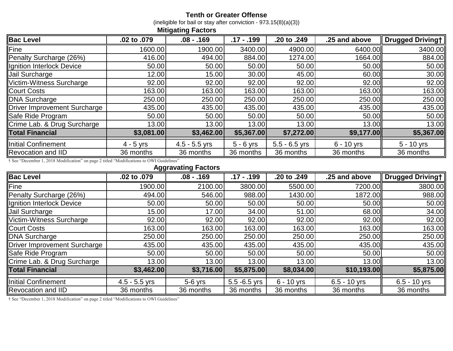### **Tenth or Greater Offense**

(ineligible for bail or stay after conviction - 973.15(8)(a)(3))

|                                     |             | <b>Mitigating Factors</b> |              |                 |               |                  |
|-------------------------------------|-------------|---------------------------|--------------|-----------------|---------------|------------------|
| <b>Bac Level</b>                    | .02 to .079 | $.08 - .169$              | $.17 - .199$ | .20 to .249     | .25 and above | Drugged Drivingt |
| Fine                                | 1600.00     | 1900.00                   | 3400.00      | 4900.00         | 6400.00       | 3400.00          |
| Penalty Surcharge (26%)             | 416.00      | 494.00                    | 884.00       | 1274.00         | 1664.00       | 884.00           |
| Ignition Interlock Device           | 50.00       | 50.00                     | 50.00        | 50.00           | 50.00         | 50.00            |
| Jail Surcharge                      | 12.00       | 15.00                     | 30.00        | 45.00           | 60.00         | 30.00            |
| Victim-Witness Surcharge            | 92.00       | 92.00                     | 92.00        | 92.00           | 92.00         | 92.00            |
| <b>Court Costs</b>                  | 163.00      | 163.00                    | 163.00       | 163.00          | 163.00        | 163.00           |
| <b>DNA Surcharge</b>                | 250.00      | 250.00                    | 250.00       | 250.00          | 250.00        | 250.00           |
| <b>Driver Improvement Surcharge</b> | 435.00      | 435.00                    | 435.00       | 435.00          | 435.00        | 435.00           |
| Safe Ride Program                   | 50.00       | 50.00                     | 50.00        | 50.00           | 50.00         | 50.00            |
| Crime Lab. & Drug Surcharge         | 13.00       | 13.00                     | 13.00        | 13.00           | 13.00         | 13.00            |
| <b>Total Financial</b>              | \$3,081.00  | \$3,462.00                | \$5,367.00   | \$7,272.00      | \$9,177.00    | \$5,367.00       |
| Initial Confinement                 | $4 - 5$ yrs | $4.5 - 5.5$ yrs           | $5 - 6$ yrs  | $5.5 - 6.5$ yrs | $6 - 10$ yrs  | $5 - 10$ yrs     |
| <b>Revocation and IID</b>           | 36 months   | 36 months                 | 36 months    | 36 months       | 36 months     | 36 months        |

† See "December 1, 2018 Modification" on page 2 titled "Modifications to OWI Guidelines"

**Aggravating Factors**

| <b>Bac Level</b>                    | .02 to .079     | $.08 - .169$ | $.17 - .199$    | .20 to .249  | .25 and above  | Drugged Driving+ |
|-------------------------------------|-----------------|--------------|-----------------|--------------|----------------|------------------|
| Fine                                | 1900.00         | 2100.00      | 3800.00         | 5500.00      | 7200.00        | 3800.00          |
| Penalty Surcharge (26%)             | 494.00          | 546.00       | 988.00          | 1430.00      | 1872.00        | 988.00           |
| Ignition Interlock Device           | 50.00           | 50.00        | 50.00           | 50.00        | 50.00          | 50.00            |
| Jail Surcharge                      | 15.00           | 17.00        | 34.00           | 51.00        | 68.00          | 34.00            |
| Victim-Witness Surcharge            | 92.00           | 92.00        | 92.00           | 92.00        | 92.00          | 92.00            |
| <b>Court Costs</b>                  | 163.00          | 163.00       | 163.00          | 163.00       | 163.00         | 163.00           |
| <b>DNA Surcharge</b>                | 250.00          | 250.00       | 250.00          | 250.00       | 250.00         | 250.00           |
| <b>Driver Improvement Surcharge</b> | 435.00          | 435.00       | 435.00          | 435.00       | 435.00         | 435.00           |
| Safe Ride Program                   | 50.00           | 50.00        | 50.00           | 50.00        | 50.00          | 50.00            |
| Crime Lab. & Drug Surcharge         | 13.00           | 13.00        | 13.00           | 13.00        | 13.00          | 13.00            |
| <b>Total Financial</b>              | \$3,462.00      | \$3,716.00   | \$5,875.00      | \$8,034.00   | \$10,193.00    | \$5,875.00       |
| <b>Initial Confinement</b>          | $4.5 - 5.5$ yrs | $5-6$ yrs    | $5.5 - 6.5$ yrs | $6 - 10$ yrs | $6.5 - 10$ yrs | $6.5 - 10$ yrs   |
| <b>Revocation and IID</b>           | 36 months       | 36 months    | 36 months       | 36 months    | 36 months      | 36 months        |